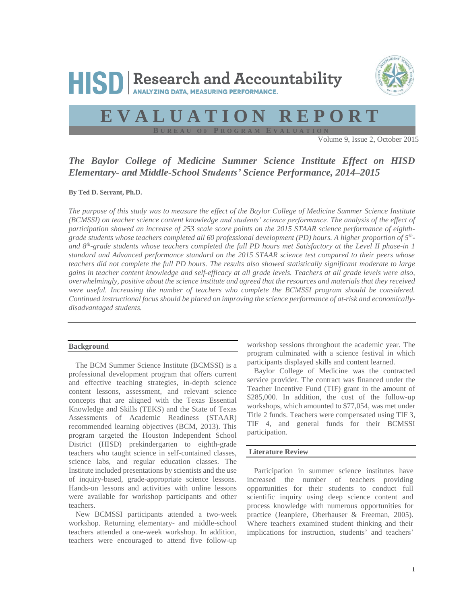



# **E V A L U A T I O N R E P O R T**

**B U R E A U O F P R O G R A M E V A L U A T I O N**

Volume 9, Issue 2, October 2015

# *The Baylor College of Medicine Summer Science Institute Effect on HISD Elementary- and Middle-School Students' Science Performance, 2014–2015*

**By Ted D. Serrant, Ph.D.** 

*The purpose of this study was to measure the effect of the Baylor College of Medicine Summer Science Institute (BCMSSI) on teacher science content knowledge and students' science performance. The analysis of the effect of participation showed an increase of 253 scale score points on the 2015 STAAR science performance of eighthgrade students whose teachers completed all 60 professional development (PD) hours. A higher proportion of 5th*  *and 8th-grade students whose teachers completed the full PD hours met Satisfactory at the Level II phase-in 1 standard and Advanced performance standard on the 2015 STAAR science test compared to their peers whose teachers did not complete the full PD hours. The results also showed statistically significant moderate to large gains in teacher content knowledge and self-efficacy at all grade levels. Teachers at all grade levels were also, overwhelmingly, positive about the science institute and agreed that the resources and materials that they received were useful. Increasing the number of teachers who complete the BCMSSI program should be considered. Continued instructional focus should be placed on improving the science performance of at-risk and economicallydisadvantaged students.* 

#### **Background**

The BCM Summer Science Institute (BCMSSI) is a professional development program that offers current and effective teaching strategies, in-depth science content lessons, assessment, and relevant science concepts that are aligned with the Texas Essential Knowledge and Skills (TEKS) and the State of Texas Assessments of Academic Readiness (STAAR) recommended learning objectives (BCM, 2013). This program targeted the Houston Independent School District (HISD) prekindergarten to eighth-grade teachers who taught science in self-contained classes, science labs, and regular education classes. The Institute included presentations by scientists and the use of inquiry-based, grade-appropriate science lessons. Hands-on lessons and activities with online lessons were available for workshop participants and other teachers.

New BCMSSI participants attended a two-week workshop. Returning elementary- and middle-school teachers attended a one-week workshop. In addition, teachers were encouraged to attend five follow-up workshop sessions throughout the academic year. The program culminated with a science festival in which participants displayed skills and content learned.

Baylor College of Medicine was the contracted service provider. The contract was financed under the Teacher Incentive Fund (TIF) grant in the amount of \$285,000. In addition, the cost of the follow-up workshops, which amounted to \$77,054, was met under Title 2 funds. Teachers were compensated using TIF 3, TIF 4, and general funds for their BCMSSI participation.

## **Literature Review**

Participation in summer science institutes have increased the number of teachers providing opportunities for their students to conduct full scientific inquiry using deep science content and process knowledge with numerous opportunities for practice (Jeanpiere, Oberhauser & Freeman, 2005). Where teachers examined student thinking and their implications for instruction, students' and teachers'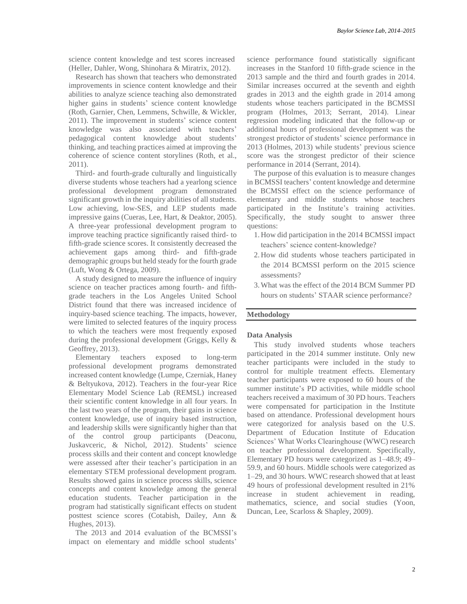science content knowledge and test scores increased (Heller, Dahler, Wong, Shinohara & Miratrix, 2012).

Research has shown that teachers who demonstrated improvements in science content knowledge and their abilities to analyze science teaching also demonstrated higher gains in students' science content knowledge (Roth, Garnier, Chen, Lemmens, Schwille, & Wickler, 2011). The improvement in students' science content knowledge was also associated with teachers' pedagogical content knowledge about students' thinking, and teaching practices aimed at improving the coherence of science content storylines (Roth, et al., 2011).

Third- and fourth-grade culturally and linguistically diverse students whose teachers had a yearlong science professional development program demonstrated significant growth in the inquiry abilities of all students. Low achieving, low-SES, and LEP students made impressive gains (Cueras, Lee, Hart, & Deaktor, 2005). A three-year professional development program to improve teaching practice significantly raised third- to fifth-grade science scores. It consistently decreased the achievement gaps among third- and fifth-grade demographic groups but held steady for the fourth grade (Luft, Wong & Ortega, 2009).

A study designed to measure the influence of inquiry science on teacher practices among fourth- and fifthgrade teachers in the Los Angeles United School District found that there was increased incidence of inquiry-based science teaching. The impacts, however, were limited to selected features of the inquiry process to which the teachers were most frequently exposed during the professional development (Griggs, Kelly & Geoffrey, 2013).

Elementary teachers exposed to long-term professional development programs demonstrated increased content knowledge (Lumpe, Czerniak, Haney & Beltyukova, 2012). Teachers in the four-year Rice Elementary Model Science Lab (REMSL) increased their scientific content knowledge in all four years. In the last two years of the program, their gains in science content knowledge, use of inquiry based instruction, and leadership skills were significantly higher than that of the control group participants (Deaconu, Juskavceric, & Nichol, 2012). Students' science process skills and their content and concept knowledge were assessed after their teacher's participation in an elementary STEM professional development program. Results showed gains in science process skills, science concepts and content knowledge among the general education students. Teacher participation in the program had statistically significant effects on student posttest science scores (Cotabish, Dailey, Ann & Hughes, 2013).

The 2013 and 2014 evaluation of the BCMSSI's impact on elementary and middle school students'

science performance found statistically significant increases in the Stanford 10 fifth-grade science in the 2013 sample and the third and fourth grades in 2014. Similar increases occurred at the seventh and eighth grades in 2013 and the eighth grade in 2014 among students whose teachers participated in the BCMSSI program (Holmes, 2013; Serrant, 2014). Linear regression modeling indicated that the follow-up or additional hours of professional development was the strongest predictor of students' science performance in 2013 (Holmes, 2013) while students' previous science score was the strongest predictor of their science performance in 2014 (Serrant, 2014).

The purpose of this evaluation is to measure changes in BCMSSI teachers' content knowledge and determine the BCMSSI effect on the science performance of elementary and middle students whose teachers participated in the Institute's training activities. Specifically, the study sought to answer three questions:

- 1. How did participation in the 2014 BCMSSI impact teachers' science content-knowledge?
- 2. How did students whose teachers participated in the 2014 BCMSSI perform on the 2015 science assessments?
- 3.What was the effect of the 2014 BCM Summer PD hours on students' STAAR science performance?

#### **Methodology**

### **Data Analysis**

This study involved students whose teachers participated in the 2014 summer institute. Only new teacher participants were included in the study to control for multiple treatment effects. Elementary teacher participants were exposed to 60 hours of the summer institute's PD activities, while middle school teachers received a maximum of 30 PD hours. Teachers were compensated for participation in the Institute based on attendance. Professional development hours were categorized for analysis based on the U.S. Department of Education Institute of Education Sciences' What Works Clearinghouse (WWC) research on teacher professional development. Specifically, Elementary PD hours were categorized as 1–48.9; 49– 59.9, and 60 hours. Middle schools were categorized as 1–29, and 30 hours. WWC research showed that at least 49 hours of professional development resulted in 21% increase in student achievement in reading, mathematics, science, and social studies (Yoon, Duncan, Lee, Scarloss & Shapley, 2009).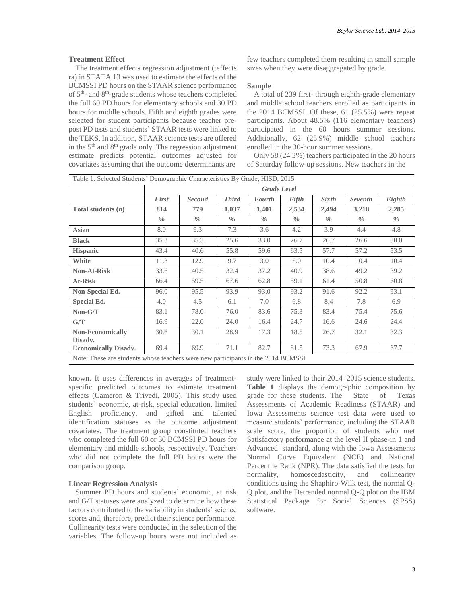## **Treatment Effect**

The treatment effects regression adjustment (teffects ra) in STATA 13 was used to estimate the effects of the BCMSSI PD hours on the STAAR science performance of 5<sup>th</sup>- and 8<sup>th</sup>-grade students whose teachers completed the full 60 PD hours for elementary schools and 30 PD hours for middle schools. Fifth and eighth grades were selected for student participants because teacher prepost PD tests and students' STAAR tests were linked to the TEKS. In addition, STAAR science tests are offered in the  $5<sup>th</sup>$  and  $8<sup>th</sup>$  grade only. The regression adjustment estimate predicts potential outcomes adjusted for covariates assuming that the outcome determinants are

few teachers completed them resulting in small sample sizes when they were disaggregated by grade.

#### **Sample**

A total of 239 first- through eighth-grade elementary and middle school teachers enrolled as participants in the 2014 BCMSSI. Of these, 61 (25.5%) were repeat participants. About 48.5% (116 elementary teachers) participated in the 60 hours summer sessions. Additionally, 62 (25.9%) middle school teachers enrolled in the 30-hour summer sessions.

Only 58 (24.3%) teachers participated in the 20 hours of Saturday follow-up sessions. New teachers in the

|                                                                                  | Table 1. Selected Students' Demographic Characteristics By Grade, HISD, 2015                                 |                    |               |       |               |       |       |       |  |
|----------------------------------------------------------------------------------|--------------------------------------------------------------------------------------------------------------|--------------------|---------------|-------|---------------|-------|-------|-------|--|
|                                                                                  |                                                                                                              | <b>Grade Level</b> |               |       |               |       |       |       |  |
|                                                                                  | <b>Third</b><br>First<br>Fifth<br><b>Sixth</b><br><b>Seventh</b><br>Eighth<br><b>Second</b><br><b>Fourth</b> |                    |               |       |               |       |       |       |  |
| Total students (n)                                                               | 814                                                                                                          | 779                | 1,037         | 1,401 | 2,534         | 2,494 | 3,218 | 2,285 |  |
|                                                                                  | $\frac{0}{0}$                                                                                                | $\frac{0}{0}$      | $\frac{0}{0}$ | $\%$  | $\frac{0}{0}$ | $\%$  | $\%$  | %     |  |
| <b>Asian</b>                                                                     | 8.0                                                                                                          | 9.3                | 7.3           | 3.6   | 4.2           | 3.9   | 4.4   | 4.8   |  |
| <b>Black</b>                                                                     | 35.3                                                                                                         | 35.3               | 25.6          | 33.0  | 26.7          | 26.7  | 26.6  | 30.0  |  |
| <b>Hispanic</b>                                                                  | 43.4                                                                                                         | 40.6               | 55.8          | 59.6  | 63.5          | 57.7  | 57.2  | 53.5  |  |
| White                                                                            | 11.3                                                                                                         | 12.9               | 9.7           | 3.0   | 5.0           | 10.4  | 10.4  | 10.4  |  |
| <b>Non-At-Risk</b>                                                               | 33.6                                                                                                         | 40.5               | 32.4          | 37.2  | 40.9          | 38.6  | 49.2  | 39.2  |  |
| At-Risk                                                                          | 66.4                                                                                                         | 59.5               | 67.6          | 62.8  | 59.1          | 61.4  | 50.8  | 60.8  |  |
| Non-Special Ed.                                                                  | 96.0                                                                                                         | 95.5               | 93.9          | 93.0  | 93.2          | 91.6  | 92.2  | 93.1  |  |
| <b>Special Ed.</b>                                                               | 4.0                                                                                                          | 4.5                | 6.1           | 7.0   | 6.8           | 8.4   | 7.8   | 6.9   |  |
| $Non-G/T$                                                                        | 83.1                                                                                                         | 78.0               | 76.0          | 83.6  | 75.3          | 83.4  | 75.4  | 75.6  |  |
| G/T                                                                              | 16.9                                                                                                         | 22.0               | 24.0          | 16.4  | 24.7          | 16.6  | 24.6  | 24.4  |  |
| <b>Non-Economically</b><br>Disadv.                                               | 30.6                                                                                                         | 30.1               | 28.9          | 17.3  | 18.5          | 26.7  | 32.1  | 32.3  |  |
| Economically Disadv.                                                             | 69.4                                                                                                         | 69.9               | 71.1          | 82.7  | 81.5          | 73.3  | 67.9  | 67.7  |  |
| Note: These are students whose teachers were new participants in the 2014 BCMSSI |                                                                                                              |                    |               |       |               |       |       |       |  |

known. It uses differences in averages of treatmentspecific predicted outcomes to estimate treatment effects (Cameron & Trivedi, 2005). This study used students' economic, at-risk, special education, limited English proficiency, and gifted and talented identification statuses as the outcome adjustment covariates. The treatment group constituted teachers who completed the full 60 or 30 BCMSSI PD hours for elementary and middle schools, respectively. Teachers who did not complete the full PD hours were the comparison group.

## **Linear Regression Analysis**

Summer PD hours and students' economic, at risk and G/T statuses were analyzed to determine how these factors contributed to the variability in students' science scores and, therefore, predict their science performance. Collinearity tests were conducted in the selection of the variables. The follow-up hours were not included as

study were linked to their 2014–2015 science students. **Table 1** displays the demographic composition by grade for these students. The State of Texas Assessments of Academic Readiness (STAAR) and Iowa Assessments science test data were used to measure students' performance, including the STAAR scale score, the proportion of students who met Satisfactory performance at the level II phase-in 1 and Advanced standard, along with the Iowa Assessments Normal Curve Equivalent (NCE) and National Percentile Rank (NPR). The data satisfied the tests for normality, homoscedasticity, and collinearity normality, homoscedasticity, and conditions using the Shaphiro-Wilk test, the normal Q-Q plot, and the Detrended normal Q-Q plot on the IBM Statistical Package for Social Sciences (SPSS) software.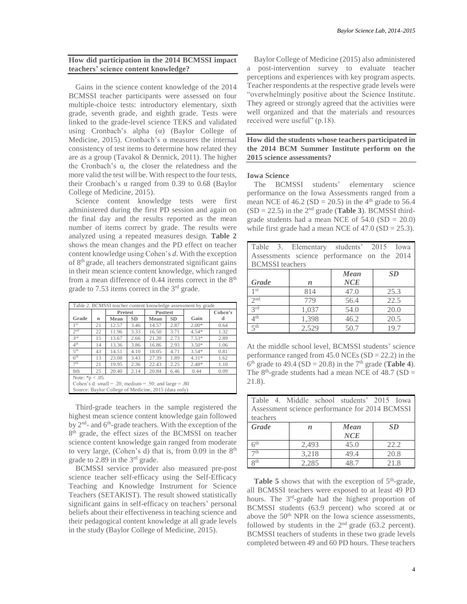## **How did participation in the 2014 BCMSSI impact teachers' science content knowledge?**

Gains in the science content knowledge of the 2014 BCMSSI teacher participants were assessed on four multiple-choice tests: introductory elementary, sixth grade, seventh grade, and eighth grade. Tests were linked to the grade-level science TEKS and validated using Cronbach's alpha (α) (Baylor College of Medicine, 2015). Cronbach's α measures the internal consistency of test items to determine how related they are as a group (Tavakol & Dennick, 2011). The higher the Cronbach's α, the closer the relatedness and the more valid the test will be. With respect to the four tests, their Cronbach's α ranged from 0.39 to 0.68 (Baylor College of Medicine, 2015).

Science content knowledge tests were first administered during the first PD session and again on the final day and the results reported as the mean number of items correct by grade. The results were analyzed using a repeated measures design. **Table 2** shows the mean changes and the PD effect on teacher content knowledge using Cohen's *d*. With the exception of 8<sup>th</sup> grade, all teachers demonstrated significant gains in their mean science content knowledge, which ranged from a mean difference of  $0.44$  items correct in the  $8<sup>th</sup>$ grade to 7.53 items correct in the 3rd grade.

| Table 2. BCMSSI teacher content knowledge assessment by grade |    |                |           |                                                      |           |         |         |  |  |
|---------------------------------------------------------------|----|----------------|-----------|------------------------------------------------------|-----------|---------|---------|--|--|
|                                                               |    | <b>Pretest</b> |           | <b>Posttest</b>                                      |           |         | Cohen's |  |  |
| Grade                                                         | n  | Mean           | <b>SD</b> | Mean                                                 | <b>SD</b> | Gain    | d       |  |  |
| 1 st                                                          | 21 | 12.57          | 3.46      | 14.57                                                | 2.87      | $2.00*$ | 0.64    |  |  |
| 2 <sup>nd</sup>                                               | 22 | 11.96          | 3.33      | 16.50                                                | 3.71      | $4.54*$ | 1.32    |  |  |
| 2rd                                                           | 15 | 13.67          | 2.66      | 21.20                                                | 2.73      | $7.53*$ | 2.89    |  |  |
|                                                               | 14 | 13.36          | 3.86      | 16.86                                                | 2.93      | $3.50*$ | 1.06    |  |  |
| 5 <sup>th</sup>                                               | 43 | 14.51          | 4.10      | 18.05                                                | 4.71      | $3.54*$ | 0.81    |  |  |
| 6 <sup>th</sup>                                               | 13 | 23.08          | 3.43      | 27.39                                                | 1.89      | $4.31*$ | 1.62    |  |  |
| 7 <sup>th</sup>                                               | 21 | 19.95          | 2.36      | 22.43                                                | 2.25      | $2.48*$ | 1.10    |  |  |
| 8th                                                           | 25 | 20.40          | 2.14      | 20.84                                                | 6.46      | 0.44    | 0.09    |  |  |
| Note: ${}^*p$ < .05                                           |    |                |           |                                                      |           |         |         |  |  |
| Cohen's d: small = .20; medium = .50; and large = .80         |    |                |           |                                                      |           |         |         |  |  |
|                                                               |    |                |           | Source: Baylor College of Medicine, 2015 (data only) |           |         |         |  |  |
| 4 <sup>th</sup>                                               |    |                |           |                                                      |           |         |         |  |  |

Third-grade teachers in the sample registered the highest mean science content knowledge gain followed by 2<sup>nd</sup>- and 6<sup>th</sup>-grade teachers. With the exception of the 8<sup>th</sup> grade, the effect sizes of the BCMSSI on teacher science content knowledge gain ranged from moderate to very large, (Cohen's d) that is, from  $0.09$  in the  $8<sup>th</sup>$ grade to 2.89 in the 3rd grade.

BCMSSI service provider also measured pre-post science teacher self-efficacy using the Self-Efficacy Teaching and Knowledge Instrument for Science Teachers (SETAKIST). The result showed statistically significant gains in self-efficacy on teachers' personal beliefs about their effectiveness in teaching science and their pedagogical content knowledge at all grade levels in the study (Baylor College of Medicine, 2015).

Baylor College of Medicine (2015) also administered a post-intervention survey to evaluate teacher perceptions and experiences with key program aspects. Teacher respondents at the respective grade levels were "overwhelmingly positive about the Science Institute. They agreed or strongly agreed that the activities were well organized and that the materials and resources received were useful" (p.18).

**How did the students whose teachers participated in the 2014 BCM Summer Institute perform on the 2015 science assessments?** 

## **Iowa Science**

The BCMSSI students' elementary science performance on the Iowa Assessments ranged from a mean NCE of 46.2 (SD = 20.5) in the  $4<sup>th</sup>$  grade to 56.4  $(SD = 22.5)$  in the  $2<sup>nd</sup>$  grade (**Table 3**). BCMSSI thirdgrade students had a mean NCE of  $54.0$  (SD = 20.0) while first grade had a mean NCE of  $47.0$  (SD =  $25.3$ ).

| Table 3. Elementary students' 2015 Iowa<br>Assessments science performance on the 2014<br><b>BCMSSI</b> teachers |                  |      |      |  |  |  |  |  |  |
|------------------------------------------------------------------------------------------------------------------|------------------|------|------|--|--|--|--|--|--|
| <b>SD</b><br>Mean                                                                                                |                  |      |      |  |  |  |  |  |  |
| Grade                                                                                                            | $\boldsymbol{n}$ | NCE  |      |  |  |  |  |  |  |
| 1 <sup>st</sup>                                                                                                  | 814              | 47.0 | 25.3 |  |  |  |  |  |  |
| 2 <sub>nd</sub>                                                                                                  | 779              | 56.4 | 22.5 |  |  |  |  |  |  |
| 2rd                                                                                                              | 1,037            | 54.0 | 20.0 |  |  |  |  |  |  |
| 4 <sup>th</sup>                                                                                                  | 1,398            | 46.2 | 20.5 |  |  |  |  |  |  |
| $\leq$ th                                                                                                        | 2,529            | 50.7 | 19.7 |  |  |  |  |  |  |

At the middle school level, BCMSSI students' science performance ranged from  $45.0$  NCEs (SD = 22.2) in the 6<sup>th</sup> grade to 49.4 (SD = 20.8) in the 7<sup>th</sup> grade (**Table 4**). The  $8<sup>th</sup>$ -grade students had a mean NCE of 48.7 (SD = 21.8).

| Table 4. Middle school students' 2015 Iowa<br>Assessment science performance for 2014 BCMSSI<br>teachers |                  |             |      |  |  |  |  |
|----------------------------------------------------------------------------------------------------------|------------------|-------------|------|--|--|--|--|
| Grade                                                                                                    | $\boldsymbol{n}$ | Mean<br>NCE | SD.  |  |  |  |  |
| 65                                                                                                       | 2,493            | 45.0        | 22.2 |  |  |  |  |
| 7th                                                                                                      | 3,218            | 49.4        | 20.8 |  |  |  |  |
| Qth                                                                                                      | 2,285            | 48.7        | 21.8 |  |  |  |  |

**Table 5** shows that with the exception of  $5<sup>th</sup>$ -grade, all BCMSSI teachers were exposed to at least 49 PD hours. The 3<sup>rd</sup>-grade had the highest proportion of BCMSSI students (63.9 percent) who scored at or above the 50<sup>th</sup> NPR on the Iowa science assessments, followed by students in the  $2<sup>nd</sup>$  grade (63.2 percent). BCMSSI teachers of students in these two grade levels completed between 49 and 60 PD hours. These teachers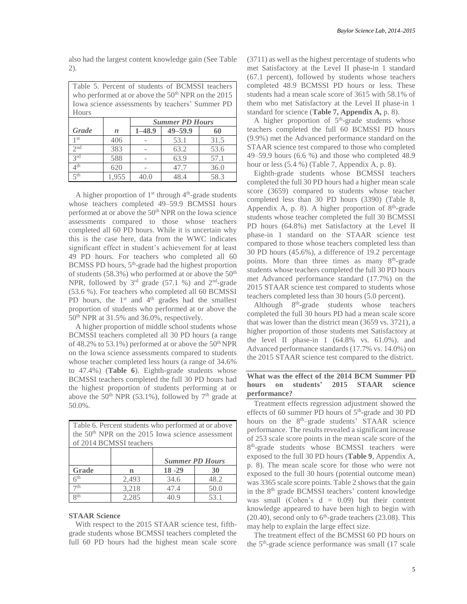also had the largest content knowledge gain (See Table 2).

Table 5. Percent of students of BCMSSI teachers who performed at or above the 50<sup>th</sup> NPR on the 2015 Iowa science assessments by teachers' Summer PD Hours

|          |                  | <b>Summer PD Hours</b> |             |      |  |  |  |  |
|----------|------------------|------------------------|-------------|------|--|--|--|--|
| Grade    | $\boldsymbol{n}$ | $1 - 48.9$             | $49 - 59.9$ | 60   |  |  |  |  |
| 1 st     | 406              |                        | 53.1        | 31.5 |  |  |  |  |
| $2^{nd}$ | 383              |                        | 63.2        | 53.6 |  |  |  |  |
| 2rd      | 588              |                        | 63.9        | 57.1 |  |  |  |  |
| 1 th     | 620              |                        | 47.7        | 36.0 |  |  |  |  |
| ςth      | 1,955            |                        | 48.4        | 58.3 |  |  |  |  |

A higher proportion of  $1<sup>st</sup>$  through  $4<sup>th</sup>$ -grade students whose teachers completed 49–59.9 BCMSSI hours performed at or above the 50<sup>th</sup> NPR on the Iowa science assessments compared to those whose teachers completed all 60 PD hours. While it is uncertain why this is the case here, data from the WWC indicates significant effect in student's achievement for at least 49 PD hours. For teachers who completed all 60 BCMSS PD hours, 5<sup>th</sup>-grade had the highest proportion of students (58.3%) who performed at or above the  $50<sup>th</sup>$ NPR, followed by  $3<sup>rd</sup>$  grade (57.1 %) and  $2<sup>nd</sup>$ -grade (53.6 %). For teachers who completed all 60 BCMSSI PD hours, the  $1<sup>st</sup>$  and  $4<sup>th</sup>$  grades had the smallest proportion of students who performed at or above the 50th NPR at 31.5% and 36.0%, respectively.

A higher proportion of middle school students whose BCMSSI teachers completed all 30 PD hours (a range of 48.2% to 53.1%) performed at or above the  $50<sup>th</sup> NPR$ on the Iowa science assessments compared to students whose teacher completed less hours (a range of 34.6% to 47.4%) (**Table 6**). Eighth-grade students whose BCMSSI teachers completed the full 30 PD hours had the highest proportion of students performing at or above the 50<sup>th</sup> NPR (53.1%), followed by  $7<sup>th</sup>$  grade at 50.0%.

| Table 6. Percent students who performed at or above<br>the 50 <sup>th</sup> NPR on the 2015 Iowa science assessment<br>of 2014 BCMSSI teachers |       |           |      |  |  |  |  |
|------------------------------------------------------------------------------------------------------------------------------------------------|-------|-----------|------|--|--|--|--|
| <b>Summer PD Hours</b>                                                                                                                         |       |           |      |  |  |  |  |
| Grade                                                                                                                                          | n     | $18 - 29$ | 30   |  |  |  |  |
| 6th                                                                                                                                            | 2.493 | 34.6      | 48.2 |  |  |  |  |
| 7th<br>3,218<br>50.0<br>47.4                                                                                                                   |       |           |      |  |  |  |  |
| Qth                                                                                                                                            | 2.285 | 40.9      | 53.1 |  |  |  |  |

### **STAAR Science**

With respect to the 2015 STAAR science test, fifthgrade students whose BCMSSI teachers completed the full 60 PD hours had the highest mean scale score (3711) as well as the highest percentage of students who met Satisfactory at the Level II phase-in 1 standard (67.1 percent), followed by students whose teachers completed 48.9 BCMSSI PD hours or less. These students had a mean scale score of 3615 with 58.1% of them who met Satisfactory at the Level II phase-in 1 standard for science (**Table 7, Appendix A,** p. 8).

A higher proportion of  $5<sup>th</sup>$ -grade students whose teachers completed the full 60 BCMSSI PD hours (9.9%) met the Advanced performance standard on the STAAR science test compared to those who completed 49–59.9 hours (6.6 %) and those who completed 48.9 hour or less (5.4 %) (Table 7, Appendix A, p. 8).

Eighth-grade students whose BCMSSI teachers completed the full 30 PD hours had a higher mean scale score (3659) compared to students whose teacher completed less than 30 PD hours (3390) (Table 8, Appendix A, p. 8). A higher proportion of  $8<sup>th</sup>$ -grade students whose teacher completed the full 30 BCMSSI PD hours (64.8%) met Satisfactory at the Level II phase-in 1 standard on the STAAR science test compared to those whose teachers completed less than 30 PD hours (45.6%), a difference of 19.2 percentage points. More than three times as many 8<sup>th</sup>-grade students whose teachers completed the full 30 PD hours met Advanced performance standard (17.7%) on the 2015 STAAR science test compared to students whose teachers completed less than 30 hours (5.0 percent).

Although  $8<sup>th</sup>$ -grade students whose teachers completed the full 30 hours PD had a mean scale score that was lower than the district mean (3659 vs. 3721), a higher proportion of those students met Satisfactory at the level II phase-in  $1$  (64.8% vs. 61.0%). and Advanced performance standards (17.7% vs. 14.0%) on the 2015 STAAR science test compared to the district.

## **What was the effect of the 2014 BCM Summer PD hours on students' 2015 STAAR science performance?**

Treatment effects regression adjustment showed the effects of 60 summer PD hours of  $5<sup>th</sup>$ -grade and 30 PD hours on the 8<sup>th</sup>–grade students' STAAR science performance. The results revealed a significant increase of 253 scale score points in the mean scale score of the 8<sup>th</sup>-grade students whose BCMSSI teachers were exposed to the full 30 PD hours (**Table 9**, Appendix A, p. 8). The mean scale score for those who were not exposed to the full 30 hours (potential outcome mean) was 3365 scale score points. Table 2 shows that the gain in the 8<sup>th</sup> grade BCMSSI teachers' content knowledge was small (Cohen's  $d = 0.09$ ) but their content knowledge appeared to have been high to begin with  $(20.40)$ , second only to  $6<sup>th</sup>$ -grade teachers  $(23.08)$ . This may help to explain the large effect size.

The treatment effect of the BCMSSI 60 PD hours on the 5th -grade science performance was small (17 scale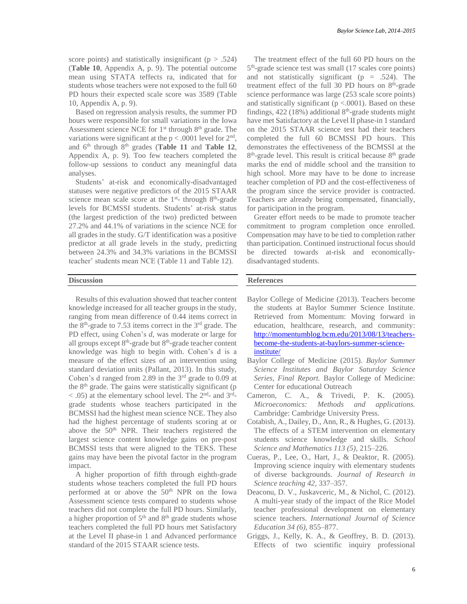score points) and statistically insignificant ( $p > .524$ ) (**Table 10**, Appendix A, p. 9). The potential outcome mean using STATA teffects ra, indicated that for students whose teachers were not exposed to the full 60 PD hours their expected scale score was 3589 (Table 10, Appendix A, p. 9).

Based on regression analysis results, the summer PD hours were responsible for small variations in the Iowa Assessment science NCE for 1<sup>st</sup> through 8<sup>th</sup> grade. The variations were significant at the  $p < .0001$  level for  $2<sup>nd</sup>$ , and  $6<sup>th</sup>$  through  $8<sup>th</sup>$  grades (**Table 11** and **Table 12**, Appendix A, p. 9). Too few teachers completed the follow-up sessions to conduct any meaningful data analyses.

Students' at-risk and economically-disadvantaged statuses were negative predictors of the 2015 STAAR science mean scale score at the  $1<sup>st</sup>$ -through  $8<sup>th</sup>$ -grade levels for BCMSSI students. Students' at-risk status (the largest prediction of the two) predicted between 27.2% and 44.1% of variations in the science NCE for all grades in the study. G/T identification was a positive predictor at all grade levels in the study, predicting between 24.3% and 34.3% variations in the BCMSSI teacher' students mean NCE (Table 11 and Table 12).

## **Discussion**

Results of this evaluation showed that teacher content knowledge increased for all teacher groups in the study, ranging from mean difference of 0.44 items correct in the  $8<sup>th</sup>$ -grade to 7.53 items correct in the  $3<sup>rd</sup>$  grade. The PD effect, using Cohen's *d*, was moderate or large for all groups except 8<sup>th</sup>-grade but 8<sup>th</sup>-grade teacher content knowledge was high to begin with. Cohen's d is a measure of the effect sizes of an intervention using standard deviation units (Pallant, 2013). In this study, Cohen's d ranged from 2.89 in the  $3<sup>rd</sup>$  grade to 0.09 at the  $8<sup>th</sup>$  grade. The gains were statistically significant (p  $<$  .05) at the elementary school level. The  $2<sup>nd</sup>$ - and  $3<sup>rd</sup>$ grade students whose teachers participated in the BCMSSI had the highest mean science NCE. They also had the highest percentage of students scoring at or above the 50<sup>th</sup> NPR. Their teachers registered the largest science content knowledge gains on pre-post BCMSSI tests that were aligned to the TEKS. These gains may have been the pivotal factor in the program impact.

A higher proportion of fifth through eighth-grade students whose teachers completed the full PD hours performed at or above the 50<sup>th</sup> NPR on the Iowa Assessment science tests compared to students whose teachers did not complete the full PD hours. Similarly, a higher proportion of  $5<sup>th</sup>$  and  $8<sup>th</sup>$  grade students whose teachers completed the full PD hours met Satisfactory at the Level II phase-in 1 and Advanced performance standard of the 2015 STAAR science tests.

The treatment effect of the full 60 PD hours on the 5<sup>th</sup>-grade science test was small (17 scales core points) and not statistically significant ( $p = .524$ ). The treatment effect of the full 30 PD hours on  $8<sup>th</sup>$ -grade science performance was large (253 scale score points) and statistically significant ( $p < .0001$ ). Based on these findings,  $422(18%)$  additional  $8<sup>th</sup>$ -grade students might have met Satisfactory at the Level II phase-in 1 standard on the 2015 STAAR science test had their teachers completed the full 60 BCMSSI PD hours. This demonstrates the effectiveness of the BCMSSI at the 8<sup>th</sup>-grade level. This result is critical because 8<sup>th</sup> grade marks the end of middle school and the transition to high school. More may have to be done to increase teacher completion of PD and the cost-effectiveness of the program since the service provider is contracted. Teachers are already being compensated, financially, for participation in the program.

Greater effort needs to be made to promote teacher commitment to program completion once enrolled. Compensation may have to be tied to completion rather than participation. Continued instructional focus should be directed towards at-risk and economicallydisadvantaged students.

#### **References**

- Baylor College of Medicine (2013). Teachers become the students at Baylor Summer Science Institute. Retrieved from Momentum: Moving forward in education, healthcare, research, and community: [http://momentumblog.bcm.edu/2013/08/13/teachers](http://momentumblog.bcm.edu/2013/08/13/teachers-become-the-students-at-baylors-summer-science-institute/)[become-the-students-at-baylors-summer-science](http://momentumblog.bcm.edu/2013/08/13/teachers-become-the-students-at-baylors-summer-science-institute/)[institute/](http://momentumblog.bcm.edu/2013/08/13/teachers-become-the-students-at-baylors-summer-science-institute/)
- Baylor College of Medicine (2015). *Baylor Summer Science Institutes and Baylor Saturday Science Series, Final Report.* Baylor College of Medicine: Center for educational Outreach
- Cameron, C. A., & Trivedi, P. K. (2005). *Microeconomics: Methods and applications.* Cambridge: Cambridge University Press.
- Cotabish, A., Dailey, D., Ann, R., & Hughes, G. (2013). The effects of a STEM intervention on elementary students science knowledge and skills. *School Science and Mathematics 113 (5)*, 215–226.
- Cueras, P., Lee, O., Hart, J., & Deaktor, R. (2005). Improving science inquiry with elementary students of diverse backgrounds. *Journal of Research in Science teaching 42*, 337–357.
- Deaconu, D. V., Juskavceric, M., & Nichol, C. (2012). A multi-year study of the impact of the Rice Model teacher professional development on elementary science teachers. *International Journal of Science Education 34 (6)*, 855–877.
- Griggs, J., Kelly, K. A., & Geoffrey, B. D. (2013). Effects of two scientific inquiry professional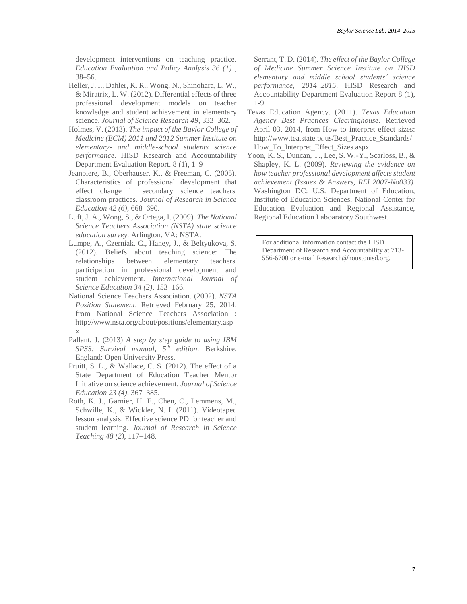development interventions on teaching practice. *Education Evaluation and Policy Analysis 36 (1)* , 38–56.

- Heller, J. I., Dahler, K. R., Wong, N., Shinohara, L. W., & Miratrix, L. W. (2012). Differential effects of three professional development models on teacher knowledge and student achievement in elementary science. *Journal of Science Research 49*, 333–362.
- Holmes, V. (2013). *The impact of the Baylor College of Medicine (BCM) 2011 and 2012 Summer Institute on elementary- and middle-school students science performance.* HISD Research and Accountability Department Evaluation Report. 8 (1), 1–9
- Jeanpiere, B., Oberhauser, K., & Freeman, C. (2005). Characteristics of professional development that effect change in secondary science teachers' classroom practices. *Journal of Research in Science Education 42 (6)*, 668–690.
- Luft, J. A., Wong, S., & Ortega, I. (2009). *The National Science Teachers Association (NSTA) state science education survey.* Arlington. VA: NSTA.
- Lumpe, A., Czerniak, C., Haney, J., & Beltyukova, S. (2012). Beliefs about teaching science: The relationships between elementary teachers' participation in professional development and student achievement. *International Journal of Science Education 34 (2)*, 153–166.
- National Science Teachers Association. (2002). *NSTA Position Statement*. Retrieved February 25, 2014, from National Science Teachers Association : http://www.nsta.org/about/positions/elementary.asp x
- Pallant, J. (2013) *A step by step guide to using IBM SPSS: Survival manual, 5th edition.* Berkshire, England: Open University Press.
- Pruitt, S. L., & Wallace, C. S. (2012). The effect of a State Department of Education Teacher Mentor Initiative on science achievement. *Journal of Science Education 23 (4)*, 367–385.
- Roth, K. J., Garnier, H. E., Chen, C., Lemmens, M., Schwille, K., & Wickler, N. I. (2011). Videotaped lesson analysis: Effective science PD for teacher and student learning. *Journal of Research in Science Teaching 48 (2)*, 117–148.

Serrant, T. D. (2014). *The effect of the Baylor College of Medicine Summer Science Institute on HISD elementary and middle school students' science performance, 2014–2015*. HISD Research and Accountability Department Evaluation Report 8 (1), 1-9

- Texas Education Agency. (2011). *Texas Education Agency Best Practices Clearinghouse*. Retrieved April 03, 2014, from How to interpret effect sizes: http://www.tea.state.tx.us/Best\_Practice\_Standards/ How\_To\_Interpret\_Effect\_Sizes.aspx
- Yoon, K. S., Duncan, T., Lee, S. W.-Y., Scarloss, B., & Shapley, K. L. (2009). *Reviewing the evidence on how teacher professional development affects student achievement (Issues & Answers, REl 2007-No033).* Washington DC: U.S. Department of Education, Institute of Education Sciences, National Center for Education Evaluation and Regional Assistance, Regional Education Laboaratory Southwest.

For additional information contact the HISD Department of Research and Accountability at 713- 556-6700 or e-mail Research@houstonisd.org.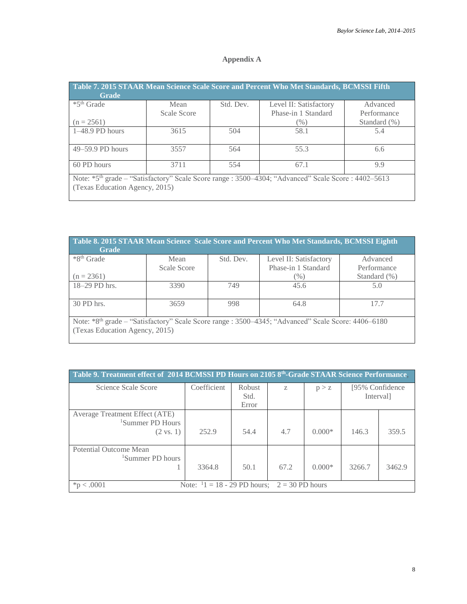## **Appendix A**

| Table 7. 2015 STAAR Mean Science Scale Score and Percent Who Met Standards, BCMSSI Fifth<br><b>Grade</b>        |                            |           |                        |              |  |  |  |  |  |
|-----------------------------------------------------------------------------------------------------------------|----------------------------|-----------|------------------------|--------------|--|--|--|--|--|
| *5 <sup>th</sup> Grade                                                                                          | Mean                       | Std. Dev. | Level II: Satisfactory | Advanced     |  |  |  |  |  |
|                                                                                                                 | Scale Score                |           | Phase-in 1 Standard    | Performance  |  |  |  |  |  |
| $(n = 2561)$                                                                                                    |                            |           | $(\%)$                 | Standard (%) |  |  |  |  |  |
| 1-48.9 PD hours                                                                                                 | 3615                       | 504       | 58.1                   | 5.4          |  |  |  |  |  |
| 49–59.9 PD hours                                                                                                | 3557                       | 564       | 55.3                   | 6.6          |  |  |  |  |  |
| 60 PD hours                                                                                                     | 3711<br>554<br>67.1<br>9.9 |           |                        |              |  |  |  |  |  |
| Note: *5 <sup>th</sup> grade – "Satisfactory" Scale Score range : 3500–4304; "Advanced" Scale Score : 4402–5613 |                            |           |                        |              |  |  |  |  |  |
| (Texas Education Agency, 2015)                                                                                  |                            |           |                        |              |  |  |  |  |  |

| Table 8. 2015 STAAR Mean Science Scale Score and Percent Who Met Standards, BCMSSI Eighth<br><b>Grade</b> |             |           |                                                                                                                |                  |  |  |  |  |
|-----------------------------------------------------------------------------------------------------------|-------------|-----------|----------------------------------------------------------------------------------------------------------------|------------------|--|--|--|--|
| *8 <sup>th</sup> Grade                                                                                    | Mean        | Std. Dev. | Level II: Satisfactory                                                                                         | Advanced         |  |  |  |  |
|                                                                                                           | Scale Score |           | Phase-in 1 Standard                                                                                            | Performance      |  |  |  |  |
| $(n = 2361)$                                                                                              |             |           | $(\%)$                                                                                                         | Standard $(\% )$ |  |  |  |  |
| 18-29 PD hrs.                                                                                             | 3390        | 749       | 45.6                                                                                                           | 5.0              |  |  |  |  |
| 30 PD hrs.                                                                                                | 3659        | 998       | 64.8                                                                                                           | 177              |  |  |  |  |
| (Texas Education Agency, 2015)                                                                            |             |           | Note: *8 <sup>th</sup> grade – "Satisfactory" Scale Score range : 3500–4345; "Advanced" Scale Score: 4406–6180 |                  |  |  |  |  |

| Table 9. Treatment effect of 2014 BCMSSI PD Hours on 2105 8th-Grade STAAR Science Performance, |                                                 |                |      |          |                               |        |  |  |  |
|------------------------------------------------------------------------------------------------|-------------------------------------------------|----------------|------|----------|-------------------------------|--------|--|--|--|
| Science Scale Score                                                                            | Coefficient                                     | Robust<br>Std. | Z    | p > z    | [95% Confidence]<br>Interval] |        |  |  |  |
|                                                                                                |                                                 | Error          |      |          |                               |        |  |  |  |
| Average Treatment Effect (ATE)<br><sup>1</sup> Summer PD Hours                                 |                                                 |                |      |          |                               |        |  |  |  |
| $(2 \text{ vs. } 1)$                                                                           | 252.9                                           | 54.4           | 4.7  | $0.000*$ | 146.3                         | 359.5  |  |  |  |
| Potential Outcome Mean<br><sup>1</sup> Summer PD hours                                         |                                                 |                |      |          |                               |        |  |  |  |
|                                                                                                | 3364.8                                          | 50.1           | 67.2 | $0.000*$ | 3266.7                        | 3462.9 |  |  |  |
| $-.0001$                                                                                       | Note: $1 = 18 - 29$ PD hours; $2 = 30$ PD hours |                |      |          |                               |        |  |  |  |